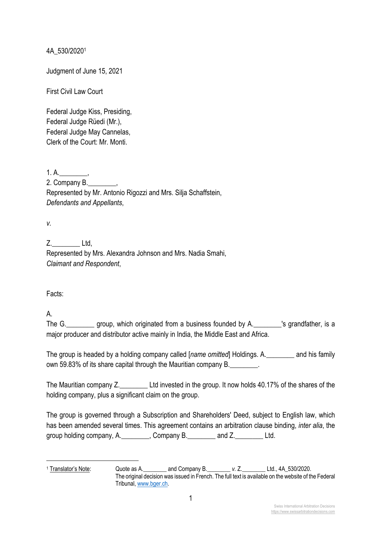4A\_530/20201

Judgment of June 15, 2021

First Civil Law Court

Federal Judge Kiss, Presiding, Federal Judge Rüedi (Mr.), Federal Judge May Cannelas, Clerk of the Court: Mr. Monti.

1. A.  $\qquad \qquad$ 

2. Company B.\_\_\_\_\_\_\_\_, Represented by Mr. Antonio Rigozzi and Mrs. Silja Schaffstein, *Defendants and Appellants*,

*v.*

Z. Ltd.

Represented by Mrs. Alexandra Johnson and Mrs. Nadia Smahi, *Claimant and Respondent*,

Facts:

A.

The G. \_\_\_\_\_\_\_\_ group, which originated from a business founded by A. \_\_\_\_\_\_\_\_'s grandfather, is a major producer and distributor active mainly in India, the Middle East and Africa.

The group is headed by a holding company called [*name omitted*] Holdings. A.\_\_\_\_\_\_\_\_ and his family own 59.83% of its share capital through the Mauritian company B.

The Mauritian company Z.\_\_\_\_\_\_\_\_ Ltd invested in the group. It now holds 40.17% of the shares of the holding company, plus a significant claim on the group.

The group is governed through a Subscription and Shareholders' Deed, subject to English law, which has been amended several times. This agreement contains an arbitration clause binding, *inter alia*, the group holding company, A. Company B. and Z. Ltd.

<sup>1</sup> Translator's Note: Quote as A.\_\_\_\_\_\_\_\_ and Company B.\_\_\_\_\_\_\_\_ *v.* Z.\_\_\_\_\_\_\_\_ Ltd., 4A\_530/2020. The original decision was issued in French. The full text is available on the website of the Federal Tribunal, www.bger.ch.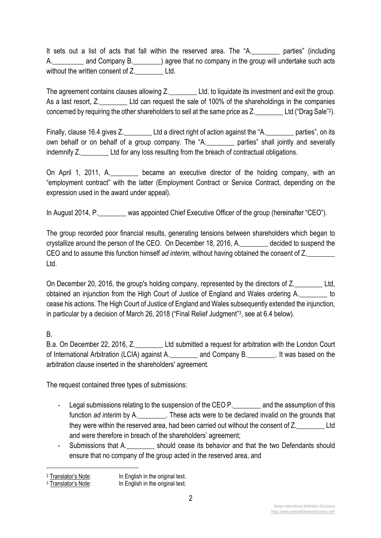It sets out a list of acts that fall within the reserved area. The "A.\_\_\_\_\_\_\_\_ parties" (including A. and Company B.  $\qquad$  agree that no company in the group will undertake such acts without the written consent of Z. Ltd.

The agreement contains clauses allowing Z. Ltd. to liquidate its investment and exit the group. As a last resort, Z. Ltd can request the sale of 100% of the shareholdings in the companies concerned by requiring the other shareholders to sell at the same price as Z. Ltd ("Drag Sale"2).

Finally, clause 16.4 gives Z. Ltd a direct right of action against the "A. The parties", on its own behalf or on behalf of a group company. The "A.\_\_\_\_\_\_\_\_ parties" shall jointly and severally indemnify Z. **Ltd for any loss resulting from the breach of contractual obligations.** 

On April 1, 2011, A. \_\_\_\_\_\_\_\_ became an executive director of the holding company, with an "employment contract" with the latter (Employment Contract or Service Contract, depending on the expression used in the award under appeal).

In August 2014, P. was appointed Chief Executive Officer of the group (hereinafter "CEO").

The group recorded poor financial results, generating tensions between shareholders which began to crystallize around the person of the CEO. On December 18, 2016, A.\_\_\_\_\_\_\_\_ decided to suspend the CEO and to assume this function himself *ad interim*, without having obtained the consent of Z.\_\_\_\_\_\_\_\_ Ltd.

On December 20, 2016, the group's holding company, represented by the directors of Z. obtained an injunction from the High Court of Justice of England and Wales ordering A.\_\_\_\_\_\_\_\_ to cease his actions. The High Court of Justice of England and Wales subsequently extended the injunction, in particular by a decision of March 26, 2018 ("Final Relief Judgment"3, see at 6.4 below).

## B.

B.a. On December 22, 2016, Z. **Ltd submitted a request for arbitration with the London Court** of International Arbitration (LCIA) against A. \_\_\_\_\_\_\_\_ and Company B. \_\_\_\_\_\_\_\_. It was based on the arbitration clause inserted in the shareholders' agreement.

The request contained three types of submissions:

- Legal submissions relating to the suspension of the CEO P. The and the assumption of this function *ad interim* by A.\_\_\_\_\_\_\_\_. These acts were to be declared invalid on the grounds that they were within the reserved area, had been carried out without the consent of Z. and were therefore in breach of the shareholders' agreement;
- Submissions that A. The should cease its behavior and that the two Defendants should ensure that no company of the group acted in the reserved area, and

<sup>&</sup>lt;sup>2</sup> Translator's Note: In English in the original text.

<sup>&</sup>lt;sup>3</sup> Translator's Note: In English in the original text.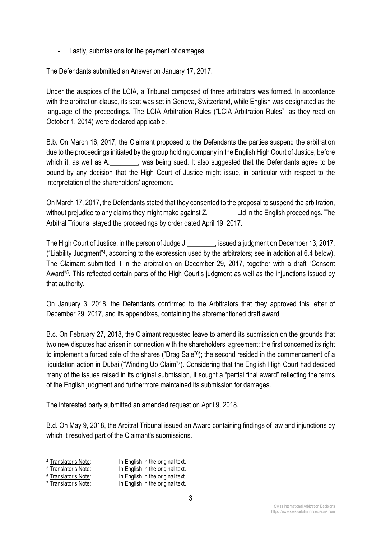- Lastly, submissions for the payment of damages.

The Defendants submitted an Answer on January 17, 2017.

Under the auspices of the LCIA, a Tribunal composed of three arbitrators was formed. In accordance with the arbitration clause, its seat was set in Geneva, Switzerland, while English was designated as the language of the proceedings. The LCIA Arbitration Rules ("LCIA Arbitration Rules", as they read on October 1, 2014) were declared applicable.

B.b. On March 16, 2017, the Claimant proposed to the Defendants the parties suspend the arbitration due to the proceedings initiated by the group holding company in the English High Court of Justice, before which it, as well as A. \_\_\_\_\_\_, was being sued. It also suggested that the Defendants agree to be bound by any decision that the High Court of Justice might issue, in particular with respect to the interpretation of the shareholders' agreement.

On March 17, 2017, the Defendants stated that they consented to the proposal to suspend the arbitration, without prejudice to any claims they might make against Z. Let in the English proceedings. The Arbitral Tribunal stayed the proceedings by order dated April 19, 2017.

The High Court of Justice, in the person of Judge J. The High a judgment on December 13, 2017, ("Liability Judgment"4, according to the expression used by the arbitrators; see in addition at 6.4 below). The Claimant submitted it in the arbitration on December 29, 2017, together with a draft "Consent Award"<sup>5</sup>. This reflected certain parts of the High Court's judgment as well as the injunctions issued by that authority.

On January 3, 2018, the Defendants confirmed to the Arbitrators that they approved this letter of December 29, 2017, and its appendixes, containing the aforementioned draft award.

B.c. On February 27, 2018, the Claimant requested leave to amend its submission on the grounds that two new disputes had arisen in connection with the shareholders' agreement: the first concerned its right to implement a forced sale of the shares ("Drag Sale"<sup>6</sup>); the second resided in the commencement of a liquidation action in Dubai ("Winding Up Claim"7). Considering that the English High Court had decided many of the issues raised in its original submission, it sought a "partial final award" reflecting the terms of the English judgment and furthermore maintained its submission for damages.

The interested party submitted an amended request on April 9, 2018.

B.d. On May 9, 2018, the Arbitral Tribunal issued an Award containing findings of law and injunctions by which it resolved part of the Claimant's submissions.

<sup>&</sup>lt;sup>4</sup> Translator's Note:<br>
<sup>5</sup> Translator's Note:<br>
In English in the original text.<br>
In English in the original text.

<sup>&</sup>lt;sup>5</sup>  $\frac{1}{2}$  Translator's Note: In English in the original text.<br><sup>6</sup> Translator's Note: In English in the original text.

 $6$  Translator's Note:<br>  $7$  Translator's Note:<br>  $10$  Translator's Note:<br>
In English in the original text. In English in the original text.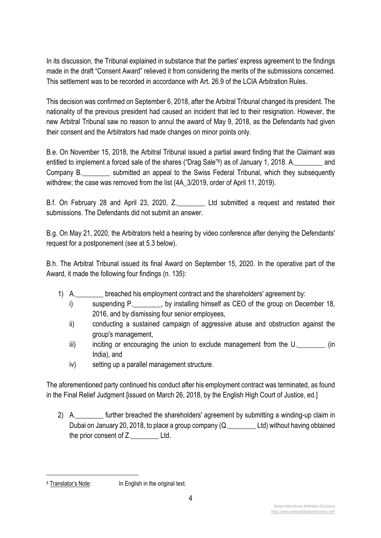In its discussion, the Tribunal explained in substance that the parties' express agreement to the findings made in the draft "Consent Award" relieved it from considering the merits of the submissions concerned. This settlement was to be recorded in accordance with Art. 26.9 of the LCIA Arbitration Rules.

This decision was confirmed on September 6, 2018, after the Arbitral Tribunal changed its president. The nationality of the previous president had caused an incident that led to their resignation. However, the new Arbitral Tribunal saw no reason to annul the award of May 9, 2018, as the Defendants had given their consent and the Arbitrators had made changes on minor points only.

B.e. On November 15, 2018, the Arbitral Tribunal issued a partial award finding that the Claimant was entitled to implement a forced sale of the shares ("Drag Sale"8) as of January 1, 2018. A. Company B. \_\_\_\_\_\_\_\_\_ submitted an appeal to the Swiss Federal Tribunal, which they subsequently withdrew; the case was removed from the list (4A\_3/2019, order of April 11, 2019).

B.f. On February 28 and April 23, 2020, Z. Ltd submitted a request and restated their submissions. The Defendants did not submit an answer.

B.g. On May 21, 2020, the Arbitrators held a hearing by video conference after denying the Defendants' request for a postponement (see at 5.3 below).

B.h. The Arbitral Tribunal issued its final Award on September 15, 2020. In the operative part of the Award, it made the following four findings (n. 135):

- 1) A.\_\_\_\_\_\_\_\_ breached his employment contract and the shareholders' agreement by:
	- i) suspending P. by installing himself as CEO of the group on December 18, 2016, and by dismissing four senior employees,
	- ii) conducting a sustained campaign of aggressive abuse and obstruction against the group's management,
	- iii) inciting or encouraging the union to exclude management from the U. Comes (in India), and
	- iv) setting up a parallel management structure.

The aforementioned party continued his conduct after his employment contract was terminated, as found in the Final Relief Judgment [issued on March 26, 2018, by the English High Court of Justice, ed.]

2) A. **Example 2** further breached the shareholders' agreement by submitting a winding-up claim in Dubai on January 20, 2018, to place a group company (Q. \_\_\_\_\_\_\_\_\_ Ltd) without having obtained the prior consent of Z. Ltd.

<sup>8</sup> Translator's Note: In English in the original text.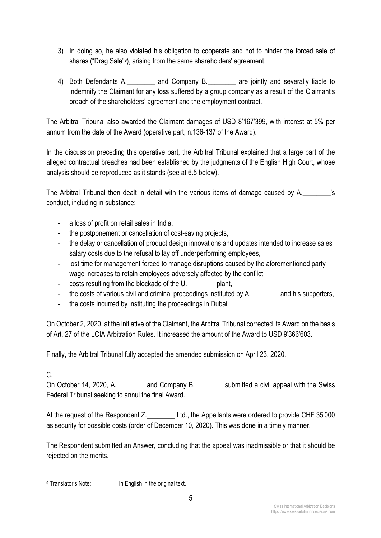- 3) In doing so, he also violated his obligation to cooperate and not to hinder the forced sale of shares ("Drag Sale"9), arising from the same shareholders' agreement.
- 4) Both Defendants A. The and Company B. The are jointly and severally liable to indemnify the Claimant for any loss suffered by a group company as a result of the Claimant's breach of the shareholders' agreement and the employment contract.

The Arbitral Tribunal also awarded the Claimant damages of USD 8'167'399, with interest at 5% per annum from the date of the Award (operative part, n.136-137 of the Award).

In the discussion preceding this operative part, the Arbitral Tribunal explained that a large part of the alleged contractual breaches had been established by the judgments of the English High Court, whose analysis should be reproduced as it stands (see at 6.5 below).

The Arbitral Tribunal then dealt in detail with the various items of damage caused by A. conduct, including in substance:

- a loss of profit on retail sales in India,
- the postponement or cancellation of cost-saving projects,
- the delay or cancellation of product design innovations and updates intended to increase sales salary costs due to the refusal to lay off underperforming employees,
- lost time for management forced to manage disruptions caused by the aforementioned party wage increases to retain employees adversely affected by the conflict
- costs resulting from the blockade of the U. blant,
- the costs of various civil and criminal proceedings instituted by A. \_\_\_\_\_\_\_\_ and his supporters,
- the costs incurred by instituting the proceedings in Dubai

On October 2, 2020, at the initiative of the Claimant, the Arbitral Tribunal corrected its Award on the basis of Art. 27 of the LCIA Arbitration Rules. It increased the amount of the Award to USD 9'366'603.

Finally, the Arbitral Tribunal fully accepted the amended submission on April 23, 2020.

#### C.

On October 14, 2020, A. \_\_\_\_\_\_\_ and Company B. \_\_\_\_\_\_\_\_ submitted a civil appeal with the Swiss Federal Tribunal seeking to annul the final Award.

At the request of the Respondent Z. Ltd., the Appellants were ordered to provide CHF 35'000 as security for possible costs (order of December 10, 2020). This was done in a timely manner.

The Respondent submitted an Answer, concluding that the appeal was inadmissible or that it should be rejected on the merits.

<sup>&</sup>lt;sup>9</sup> Translator's Note: In English in the original text.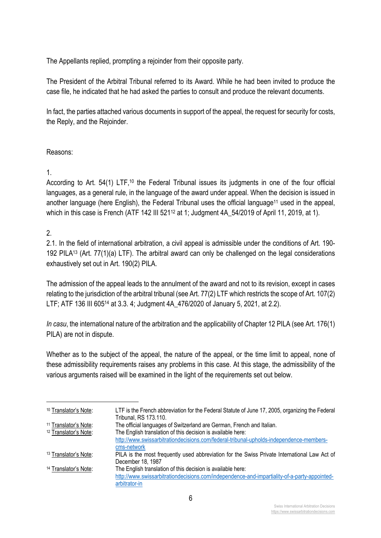The Appellants replied, prompting a rejoinder from their opposite party.

The President of the Arbitral Tribunal referred to its Award. While he had been invited to produce the case file, he indicated that he had asked the parties to consult and produce the relevant documents.

In fact, the parties attached various documents in support of the appeal, the request for security for costs, the Reply, and the Rejoinder.

#### Reasons:

#### 1.

According to Art. 54(1) LTF,<sup>10</sup> the Federal Tribunal issues its judgments in one of the four official languages, as a general rule, in the language of the award under appeal. When the decision is issued in another language (here English), the Federal Tribunal uses the official language<sup>11</sup> used in the appeal, which in this case is French (ATF 142 III 521<sup>12</sup> at 1; Judgment 4A\_54/2019 of April 11, 2019, at 1).

#### 2.

2.1. In the field of international arbitration, a civil appeal is admissible under the conditions of Art. 190- 192 PILA13 (Art. 77(1)(a) LTF). The arbitral award can only be challenged on the legal considerations exhaustively set out in Art. 190(2) PILA.

The admission of the appeal leads to the annulment of the award and not to its revision, except in cases relating to the jurisdiction of the arbitral tribunal (see Art. 77(2) LTF which restricts the scope of Art. 107(2) LTF; ATF 136 III 60514 at 3.3. 4; Judgment 4A\_476/2020 of January 5, 2021, at 2.2).

*In casu*, the international nature of the arbitration and the applicability of Chapter 12 PILA (see Art. 176(1) PILA) are not in dispute.

Whether as to the subject of the appeal, the nature of the appeal, or the time limit to appeal, none of these admissibility requirements raises any problems in this case. At this stage, the admissibility of the various arguments raised will be examined in the light of the requirements set out below.

| <sup>10</sup> Translator's Note: | LTF is the French abbreviation for the Federal Statute of June 17, 2005, organizing the Federal<br>Tribunal, RS 173.110. |
|----------------------------------|--------------------------------------------------------------------------------------------------------------------------|
| <sup>11</sup> Translator's Note: | The official languages of Switzerland are German, French and Italian.                                                    |
| <sup>12</sup> Translator's Note: | The English translation of this decision is available here:                                                              |
|                                  | http://www.swissarbitrationdecisions.com/federal-tribunal-upholds-independence-members-                                  |
|                                  | cms-network                                                                                                              |
| <sup>13</sup> Translator's Note: | PILA is the most frequently used abbreviation for the Swiss Private International Law Act of                             |
|                                  | December 18, 1987                                                                                                        |
| <sup>14</sup> Translator's Note: | The English translation of this decision is available here:                                                              |
|                                  | http://www.swissarbitrationdecisions.com/independence-and-impartiality-of-a-party-appointed-                             |
|                                  | arbitrator-in                                                                                                            |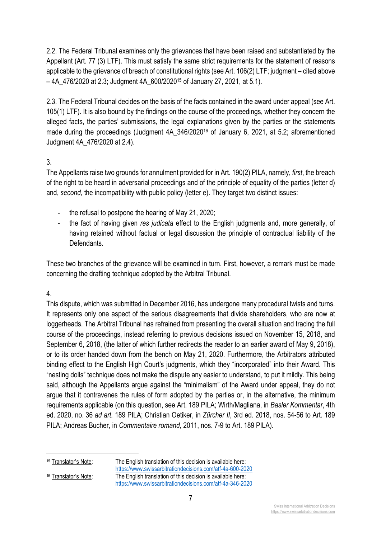2.2. The Federal Tribunal examines only the grievances that have been raised and substantiated by the Appellant (Art. 77 (3) LTF). This must satisfy the same strict requirements for the statement of reasons applicable to the grievance of breach of constitutional rights (see Art. 106(2) LTF; judgment – cited above  $-4A$  476/2020 at 2.3; Judgment 4A 600/2020<sup>15</sup> of January 27, 2021, at 5.1).

2.3. The Federal Tribunal decides on the basis of the facts contained in the award under appeal (see Art. 105(1) LTF). It is also bound by the findings on the course of the proceedings, whether they concern the alleged facts, the parties' submissions, the legal explanations given by the parties or the statements made during the proceedings (Judgment 4A 346/2020<sup>16</sup> of January 6, 2021, at 5.2; aforementioned Judgment 4A\_476/2020 at 2.4).

#### 3.

The Appellants raise two grounds for annulment provided for in Art. 190(2) PILA, namely, *first*, the breach of the right to be heard in adversarial proceedings and of the principle of equality of the parties (letter d) and, *second*, the incompatibility with public policy (letter e). They target two distinct issues:

- the refusal to postpone the hearing of May 21, 2020;
- the fact of having given *res judicata* effect to the English judgments and, more generally, of having retained without factual or legal discussion the principle of contractual liability of the Defendants.

These two branches of the grievance will be examined in turn. First, however, a remark must be made concerning the drafting technique adopted by the Arbitral Tribunal.

## 4.

This dispute, which was submitted in December 2016, has undergone many procedural twists and turns. It represents only one aspect of the serious disagreements that divide shareholders, who are now at loggerheads. The Arbitral Tribunal has refrained from presenting the overall situation and tracing the full course of the proceedings, instead referring to previous decisions issued on November 15, 2018, and September 6, 2018, (the latter of which further redirects the reader to an earlier award of May 9, 2018), or to its order handed down from the bench on May 21, 2020. Furthermore, the Arbitrators attributed binding effect to the English High Court's judgments, which they "incorporated" into their Award. This "nesting dolls" technique does not make the dispute any easier to understand, to put it mildly. This being said, although the Appellants argue against the "minimalism" of the Award under appeal, they do not argue that it contravenes the rules of form adopted by the parties or, in the alternative, the minimum requirements applicable (on this question, see Art. 189 PILA; Wirth/Magliana, in *Basler Kommentar*, 4th ed. 2020, no. 36 *ad art.* 189 PILA; Christian Oetiker, in *Zürcher II*, 3rd ed. 2018, nos. 54-56 to Art. 189 PILA; Andreas Bucher, in *Commentaire romand*, 2011, nos. 7-9 to Art. 189 PILA).

<sup>15</sup> Translator's Note: The English translation of this decision is available here: https://www.swissarbitrationdecisions.com/atf-4a-600-2020  $16$  Translator's Note: The English translation of this decision is available here: https://www.swissarbitrationdecisions.com/atf-4a-346-2020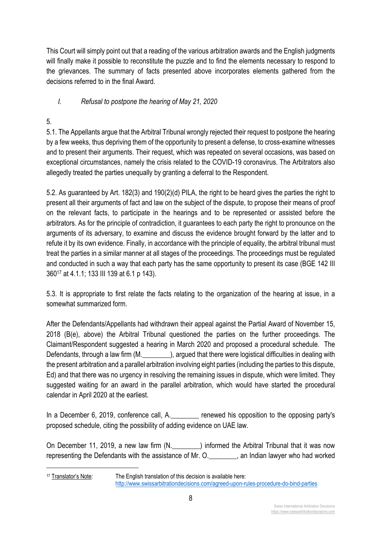This Court will simply point out that a reading of the various arbitration awards and the English judgments will finally make it possible to reconstitute the puzzle and to find the elements necessary to respond to the grievances. The summary of facts presented above incorporates elements gathered from the decisions referred to in the final Award.

## *I. Refusal to postpone the hearing of May 21, 2020*

## 5.

5.1. The Appellants argue that the Arbitral Tribunal wrongly rejected their request to postpone the hearing by a few weeks, thus depriving them of the opportunity to present a defense, to cross-examine witnesses and to present their arguments. Their request, which was repeated on several occasions, was based on exceptional circumstances, namely the crisis related to the COVID-19 coronavirus. The Arbitrators also allegedly treated the parties unequally by granting a deferral to the Respondent.

5.2. As guaranteed by Art. 182(3) and 190(2)(d) PILA, the right to be heard gives the parties the right to present all their arguments of fact and law on the subject of the dispute, to propose their means of proof on the relevant facts, to participate in the hearings and to be represented or assisted before the arbitrators. As for the principle of contradiction, it guarantees to each party the right to pronounce on the arguments of its adversary, to examine and discuss the evidence brought forward by the latter and to refute it by its own evidence. Finally, in accordance with the principle of equality, the arbitral tribunal must treat the parties in a similar manner at all stages of the proceedings. The proceedings must be regulated and conducted in such a way that each party has the same opportunity to present its case (BGE 142 III 36017 at 4.1.1; 133 III 139 at 6.1 p 143).

5.3. It is appropriate to first relate the facts relating to the organization of the hearing at issue, in a somewhat summarized form.

After the Defendants/Appellants had withdrawn their appeal against the Partial Award of November 15, 2018 (B(e), above) the Arbitral Tribunal questioned the parties on the further proceedings. The Claimant/Respondent suggested a hearing in March 2020 and proposed a procedural schedule. The Defendants, through a law firm (M.  $\qquad \qquad$ ), argued that there were logistical difficulties in dealing with the present arbitration and a parallel arbitration involving eight parties (including the parties to this dispute, Ed) and that there was no urgency in resolving the remaining issues in dispute, which were limited. They suggested waiting for an award in the parallel arbitration, which would have started the procedural calendar in April 2020 at the earliest.

In a December 6, 2019, conference call, A. The renewed his opposition to the opposing party's proposed schedule, citing the possibility of adding evidence on UAE law.

On December 11, 2019, a new law firm (N.  $\qquad \qquad$ ) informed the Arbitral Tribunal that it was now representing the Defendants with the assistance of Mr. O.\_\_\_\_\_\_\_\_, an Indian lawyer who had worked

<sup>17</sup> Translator's Note: The English translation of this decision is available here: http://www.swissarbitrationdecisions.com/agreed-upon-rules-procedure-do-bind-parties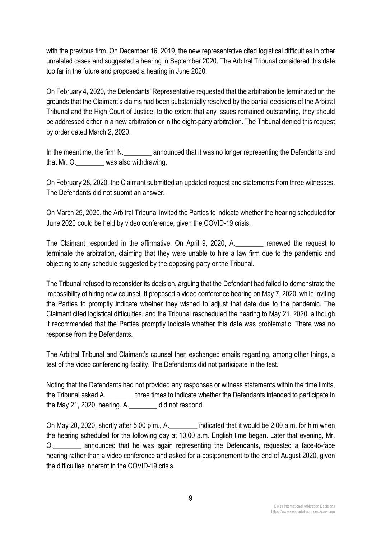with the previous firm. On December 16, 2019, the new representative cited logistical difficulties in other unrelated cases and suggested a hearing in September 2020. The Arbitral Tribunal considered this date too far in the future and proposed a hearing in June 2020.

On February 4, 2020, the Defendants' Representative requested that the arbitration be terminated on the grounds that the Claimant's claims had been substantially resolved by the partial decisions of the Arbitral Tribunal and the High Court of Justice; to the extent that any issues remained outstanding, they should be addressed either in a new arbitration or in the eight-party arbitration. The Tribunal denied this request by order dated March 2, 2020.

In the meantime, the firm N. The mean announced that it was no longer representing the Defendants and that Mr. O.\_\_\_\_\_\_\_\_ was also withdrawing.

On February 28, 2020, the Claimant submitted an updated request and statements from three witnesses. The Defendants did not submit an answer.

On March 25, 2020, the Arbitral Tribunal invited the Parties to indicate whether the hearing scheduled for June 2020 could be held by video conference, given the COVID-19 crisis.

The Claimant responded in the affirmative. On April 9, 2020, A. The renewed the request to terminate the arbitration, claiming that they were unable to hire a law firm due to the pandemic and objecting to any schedule suggested by the opposing party or the Tribunal.

The Tribunal refused to reconsider its decision, arguing that the Defendant had failed to demonstrate the impossibility of hiring new counsel. It proposed a video conference hearing on May 7, 2020, while inviting the Parties to promptly indicate whether they wished to adjust that date due to the pandemic. The Claimant cited logistical difficulties, and the Tribunal rescheduled the hearing to May 21, 2020, although it recommended that the Parties promptly indicate whether this date was problematic. There was no response from the Defendants.

The Arbitral Tribunal and Claimant's counsel then exchanged emails regarding, among other things, a test of the video conferencing facility. The Defendants did not participate in the test.

Noting that the Defendants had not provided any responses or witness statements within the time limits, the Tribunal asked A. \_\_\_\_\_\_\_\_\_\_\_ three times to indicate whether the Defendants intended to participate in the May 21, 2020, hearing. A.\_\_\_\_\_\_\_\_ did not respond.

On May 20, 2020, shortly after 5:00 p.m., A. \_\_\_\_\_\_\_\_ indicated that it would be 2:00 a.m. for him when the hearing scheduled for the following day at 10:00 a.m. English time began. Later that evening, Mr. O. The announced that he was again representing the Defendants, requested a face-to-face hearing rather than a video conference and asked for a postponement to the end of August 2020, given the difficulties inherent in the COVID-19 crisis.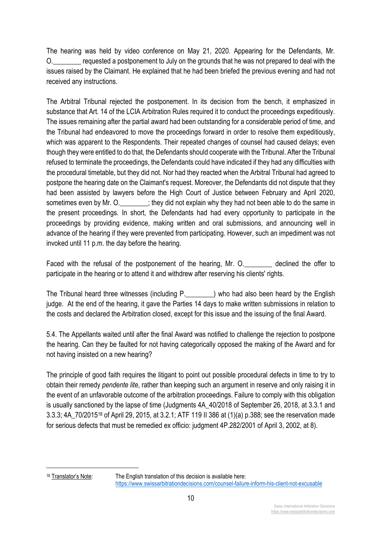The hearing was held by video conference on May 21, 2020. Appearing for the Defendants, Mr. O.\_\_\_\_\_\_\_\_ requested a postponement to July on the grounds that he was not prepared to deal with the issues raised by the Claimant. He explained that he had been briefed the previous evening and had not received any instructions.

The Arbitral Tribunal rejected the postponement. In its decision from the bench, it emphasized in substance that Art. 14 of the LCIA Arbitration Rules required it to conduct the proceedings expeditiously. The issues remaining after the partial award had been outstanding for a considerable period of time, and the Tribunal had endeavored to move the proceedings forward in order to resolve them expeditiously, which was apparent to the Respondents. Their repeated changes of counsel had caused delays; even though they were entitled to do that, the Defendants should cooperate with the Tribunal. After the Tribunal refused to terminate the proceedings, the Defendants could have indicated if they had any difficulties with the procedural timetable, but they did not. Nor had they reacted when the Arbitral Tribunal had agreed to postpone the hearing date on the Claimant's request. Moreover, the Defendants did not dispute that they had been assisted by lawyers before the High Court of Justice between February and April 2020, sometimes even by Mr. O.  $\cdot$  ; they did not explain why they had not been able to do the same in the present proceedings. In short, the Defendants had had every opportunity to participate in the proceedings by providing evidence, making written and oral submissions, and announcing well in advance of the hearing if they were prevented from participating. However, such an impediment was not invoked until 11 p.m. the day before the hearing.

Faced with the refusal of the postponement of the hearing, Mr. O. electined the offer to participate in the hearing or to attend it and withdrew after reserving his clients' rights.

The Tribunal heard three witnesses (including P.\_\_\_\_\_\_\_\_) who had also been heard by the English judge. At the end of the hearing, it gave the Parties 14 days to make written submissions in relation to the costs and declared the Arbitration closed, except for this issue and the issuing of the final Award.

5.4. The Appellants waited until after the final Award was notified to challenge the rejection to postpone the hearing. Can they be faulted for not having categorically opposed the making of the Award and for not having insisted on a new hearing?

The principle of good faith requires the litigant to point out possible procedural defects in time to try to obtain their remedy *pendente lite*, rather than keeping such an argument in reserve and only raising it in the event of an unfavorable outcome of the arbitration proceedings. Failure to comply with this obligation is usually sanctioned by the lapse of time (Judgments 4A\_40/2018 of September 26, 2018, at 3.3.1 and 3.3.3; 4A\_70/201518 of April 29, 2015, at 3.2.1; ATF 119 II 386 at (1)(a) p.388; see the reservation made for serious defects that must be remedied ex officio: judgment 4P.282/2001 of April 3, 2002, at 8).

 $18$  Translator's Note: The English translation of this decision is available here: https://www.swissarbitrationdecisions.com/counsel-failure-inform-his-client-not-excusable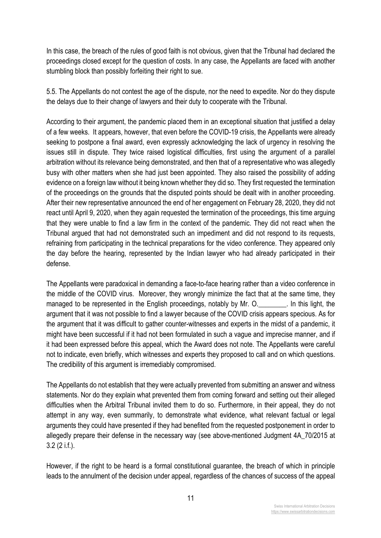In this case, the breach of the rules of good faith is not obvious, given that the Tribunal had declared the proceedings closed except for the question of costs. In any case, the Appellants are faced with another stumbling block than possibly forfeiting their right to sue.

5.5. The Appellants do not contest the age of the dispute, nor the need to expedite. Nor do they dispute the delays due to their change of lawyers and their duty to cooperate with the Tribunal.

According to their argument, the pandemic placed them in an exceptional situation that justified a delay of a few weeks. It appears, however, that even before the COVID-19 crisis, the Appellants were already seeking to postpone a final award, even expressly acknowledging the lack of urgency in resolving the issues still in dispute. They twice raised logistical difficulties, first using the argument of a parallel arbitration without its relevance being demonstrated, and then that of a representative who was allegedly busy with other matters when she had just been appointed. They also raised the possibility of adding evidence on a foreign law without it being known whether they did so. They first requested the termination of the proceedings on the grounds that the disputed points should be dealt with in another proceeding. After their new representative announced the end of her engagement on February 28, 2020, they did not react until April 9, 2020, when they again requested the termination of the proceedings, this time arguing that they were unable to find a law firm in the context of the pandemic. They did not react when the Tribunal argued that had not demonstrated such an impediment and did not respond to its requests, refraining from participating in the technical preparations for the video conference. They appeared only the day before the hearing, represented by the Indian lawyer who had already participated in their defense.

The Appellants were paradoxical in demanding a face-to-face hearing rather than a video conference in the middle of the COVID virus. Moreover, they wrongly minimize the fact that at the same time, they managed to be represented in the English proceedings, notably by Mr. O. The this light, the argument that it was not possible to find a lawyer because of the COVID crisis appears specious. As for the argument that it was difficult to gather counter-witnesses and experts in the midst of a pandemic, it might have been successful if it had not been formulated in such a vague and imprecise manner, and if it had been expressed before this appeal, which the Award does not note. The Appellants were careful not to indicate, even briefly, which witnesses and experts they proposed to call and on which questions. The credibility of this argument is irremediably compromised.

The Appellants do not establish that they were actually prevented from submitting an answer and witness statements. Nor do they explain what prevented them from coming forward and setting out their alleged difficulties when the Arbitral Tribunal invited them to do so. Furthermore, in their appeal, they do not attempt in any way, even summarily, to demonstrate what evidence, what relevant factual or legal arguments they could have presented if they had benefited from the requested postponement in order to allegedly prepare their defense in the necessary way (see above-mentioned Judgment 4A\_70/2015 at 3.2 (2 i.f.).

However, if the right to be heard is a formal constitutional guarantee, the breach of which in principle leads to the annulment of the decision under appeal, regardless of the chances of success of the appeal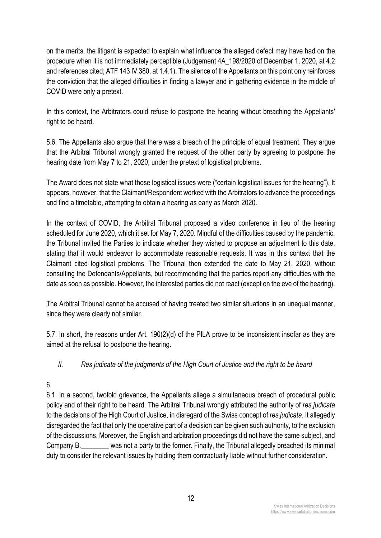on the merits, the litigant is expected to explain what influence the alleged defect may have had on the procedure when it is not immediately perceptible (Judgement 4A\_198/2020 of December 1, 2020, at 4.2 and references cited; ATF 143 IV 380, at 1.4.1). The silence of the Appellants on this point only reinforces the conviction that the alleged difficulties in finding a lawyer and in gathering evidence in the middle of COVID were only a pretext.

In this context, the Arbitrators could refuse to postpone the hearing without breaching the Appellants' right to be heard.

5.6. The Appellants also argue that there was a breach of the principle of equal treatment. They argue that the Arbitral Tribunal wrongly granted the request of the other party by agreeing to postpone the hearing date from May 7 to 21, 2020, under the pretext of logistical problems.

The Award does not state what those logistical issues were ("certain logistical issues for the hearing"). It appears, however, that the Claimant/Respondent worked with the Arbitrators to advance the proceedings and find a timetable, attempting to obtain a hearing as early as March 2020.

In the context of COVID, the Arbitral Tribunal proposed a video conference in lieu of the hearing scheduled for June 2020, which it set for May 7, 2020. Mindful of the difficulties caused by the pandemic, the Tribunal invited the Parties to indicate whether they wished to propose an adjustment to this date, stating that it would endeavor to accommodate reasonable requests. It was in this context that the Claimant cited logistical problems. The Tribunal then extended the date to May 21, 2020, without consulting the Defendants/Appellants, but recommending that the parties report any difficulties with the date as soon as possible. However, the interested parties did not react (except on the eve of the hearing).

The Arbitral Tribunal cannot be accused of having treated two similar situations in an unequal manner, since they were clearly not similar.

5.7. In short, the reasons under Art. 190(2)(d) of the PILA prove to be inconsistent insofar as they are aimed at the refusal to postpone the hearing.

## *II. Res judicata of the judgments of the High Court of Justice and the right to be heard*

# 6.

6.1. In a second, twofold grievance, the Appellants allege a simultaneous breach of procedural public policy and of their right to be heard. The Arbitral Tribunal wrongly attributed the authority of *res judicata* to the decisions of the High Court of Justice, in disregard of the Swiss concept of *res judicata*. It allegedly disregarded the fact that only the operative part of a decision can be given such authority, to the exclusion of the discussions. Moreover, the English and arbitration proceedings did not have the same subject, and Company B. Was not a party to the former. Finally, the Tribunal allegedly breached its minimal duty to consider the relevant issues by holding them contractually liable without further consideration.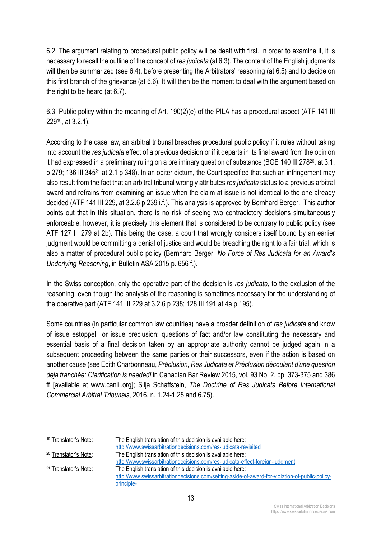6.2. The argument relating to procedural public policy will be dealt with first. In order to examine it, it is necessary to recall the outline of the concept of *res judicata* (at 6.3). The content of the English judgments will then be summarized (see 6.4), before presenting the Arbitrators' reasoning (at 6.5) and to decide on this first branch of the grievance (at 6.6). It will then be the moment to deal with the argument based on the right to be heard (at 6.7).

6.3. Public policy within the meaning of Art. 190(2)(e) of the PILA has a procedural aspect (ATF 141 III 22919, at 3.2.1).

According to the case law, an arbitral tribunal breaches procedural public policy if it rules without taking into account the *res judicata* effect of a previous decision or if it departs in its final award from the opinion it had expressed in a preliminary ruling on a preliminary question of substance (BGE 140 III 278<sup>20</sup>, at 3.1. p 279; 136 III 34521 at 2.1 p 348). In an obiter dictum, the Court specified that such an infringement may also result from the fact that an arbitral tribunal wrongly attributes *res judicata* status to a previous arbitral award and refrains from examining an issue when the claim at issue is not identical to the one already decided (ATF 141 III 229, at 3.2.6 p 239 i.f.). This analysis is approved by Bernhard Berger. This author points out that in this situation, there is no risk of seeing two contradictory decisions simultaneously enforceable; however, it is precisely this element that is considered to be contrary to public policy (see ATF 127 III 279 at 2b). This being the case, a court that wrongly considers itself bound by an earlier judgment would be committing a denial of justice and would be breaching the right to a fair trial, which is also a matter of procedural public policy (Bernhard Berger, *No Force of Res Judicata for an Award's Underlying Reasoning*, in Bulletin ASA 2015 p. 656 f.).

In the Swiss conception, only the operative part of the decision is *res judicata*, to the exclusion of the reasoning, even though the analysis of the reasoning is sometimes necessary for the understanding of the operative part (ATF 141 III 229 at 3.2.6 p 238; 128 III 191 at 4a p 195).

Some countries (in particular common law countries) have a broader definition of *res judicata* and know of issue estoppel or issue preclusion: questions of fact and/or law constituting the necessary and essential basis of a final decision taken by an appropriate authority cannot be judged again in a subsequent proceeding between the same parties or their successors, even if the action is based on another cause (see Edith Charbonneau, *Préclusion, Res Judicata et Préclusion découlant d'une question déjà tranchée: Clarification is needed!* in Canadian Bar Review 2015, vol. 93 No. 2, pp. 373-375 and 386 ff [available at www.canlii.org]; Silja Schaffstein, *The Doctrine of Res Judicata Before International Commercial Arbitral Tribunals*, 2016, n. 1.24-1.25 and 6.75).

<sup>19</sup> Translator's Note: The English translation of this decision is available here:

http://www.swissarbitrationdecisions.com/res-judicata-revisited

<sup>20</sup> Translator's Note: The English translation of this decision is available here:

http://www.swissarbitrationdecisions.com/res-judicata-effect-foreign-judgment <sup>21</sup> Translator's Note: The English translation of this decision is available here: http://www.swissarbitrationdecisions.com/setting-aside-of-award-for-violation-of-public-policyprinciple-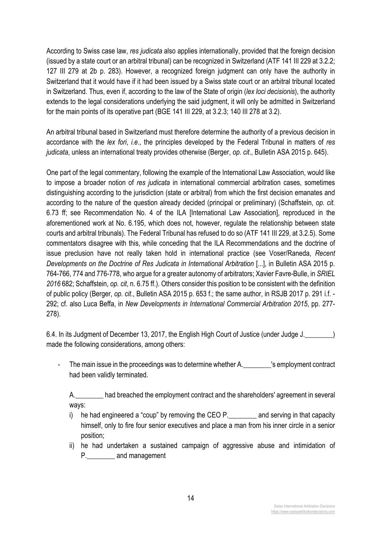According to Swiss case law, *res judicata* also applies internationally, provided that the foreign decision (issued by a state court or an arbitral tribunal) can be recognized in Switzerland (ATF 141 III 229 at 3.2.2; 127 III 279 at 2b p. 283). However, a recognized foreign judgment can only have the authority in Switzerland that it would have if it had been issued by a Swiss state court or an arbitral tribunal located in Switzerland. Thus, even if, according to the law of the State of origin (*lex loci decisionis*), the authority extends to the legal considerations underlying the said judgment, it will only be admitted in Switzerland for the main points of its operative part (BGE 141 III 229, at 3.2.3; 140 III 278 at 3.2).

An arbitral tribunal based in Switzerland must therefore determine the authority of a previous decision in accordance with the *lex fori*, *i.e*., the principles developed by the Federal Tribunal in matters of *res judicata*, unless an international treaty provides otherwise (Berger, *op. cit*., Bulletin ASA 2015 p. 645).

One part of the legal commentary, following the example of the International Law Association, would like to impose a broader notion of *res judicata* in international commercial arbitration cases, sometimes distinguishing according to the jurisdiction (state or arbitral) from which the first decision emanates and according to the nature of the question already decided (principal or preliminary) (Schaffstein, *op. cit*. 6.73 ff; see Recommendation No. 4 of the ILA [International Law Association], reproduced in the aforementioned work at No. 6.195, which does not, however, regulate the relationship between state courts and arbitral tribunals). The Federal Tribunal has refused to do so (ATF 141 III 229, at 3.2.5). Some commentators disagree with this, while conceding that the ILA Recommendations and the doctrine of issue preclusion have not really taken hold in international practice (see Voser/Raneda, *Recent Developments on the Doctrine of Res Judicata in International Arbitration* [...], in Bulletin ASA 2015 p. 764-766, 774 and 776-778, who argue for a greater autonomy of arbitrators; Xavier Favre-Bulle, in *SRIEL 2016* 682; Schaffstein, *op. cit*, n. 6.75 ff.). Others consider this position to be consistent with the definition of public policy (Berger, *op. cit*., Bulletin ASA 2015 p. 653 f.; the same author, in RSJB 2017 p. 291 i.f. - 292; cf. also Luca Beffa, in *New Developments in International Commercial Arbitration 2015*, pp. 277- 278).

6.4. In its Judgment of December 13, 2017, the English High Court of Justice (under Judge J.\_\_\_\_\_\_\_\_) made the following considerations, among others:

The main issue in the proceedings was to determine whether A. \_\_\_\_\_\_\_\_\_'s employment contract had been validly terminated.

A.\_\_\_\_\_\_\_\_ had breached the employment contract and the shareholders' agreement in several ways:

- i) he had engineered a "coup" by removing the CEO P. The and serving in that capacity himself, only to fire four senior executives and place a man from his inner circle in a senior position;
- ii) he had undertaken a sustained campaign of aggressive abuse and intimidation of P. and management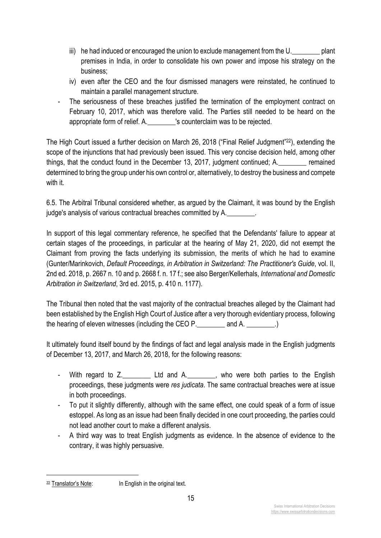- iii) he had induced or encouraged the union to exclude management from the U. plant premises in India, in order to consolidate his own power and impose his strategy on the business;
- iv) even after the CEO and the four dismissed managers were reinstated, he continued to maintain a parallel management structure.
- The seriousness of these breaches justified the termination of the employment contract on February 10, 2017, which was therefore valid. The Parties still needed to be heard on the appropriate form of relief. A.\_\_\_\_\_\_\_\_'s counterclaim was to be rejected.

The High Court issued a further decision on March 26, 2018 ("Final Relief Judgment"<sup>22</sup>), extending the scope of the injunctions that had previously been issued. This very concise decision held, among other things, that the conduct found in the December 13, 2017, judgment continued; A.\_\_\_\_\_\_\_\_ remained determined to bring the group under his own control or, alternatively, to destroy the business and compete with it.

6.5. The Arbitral Tribunal considered whether, as argued by the Claimant, it was bound by the English judge's analysis of various contractual breaches committed by A.

In support of this legal commentary reference, he specified that the Defendants' failure to appear at certain stages of the proceedings, in particular at the hearing of May 21, 2020, did not exempt the Claimant from proving the facts underlying its submission, the merits of which he had to examine (Gunter/Marinkovich, *Default Proceedings, in Arbitration in Switzerland: The Practitioner's Guide*, vol. II, 2nd ed. 2018, p. 2667 n. 10 and p. 2668 f. n. 17 f.; see also Berger/Kellerhals, *International and Domestic Arbitration in Switzerland*, 3rd ed. 2015, p. 410 n. 1177).

The Tribunal then noted that the vast majority of the contractual breaches alleged by the Claimant had been established by the English High Court of Justice after a very thorough evidentiary process, following the hearing of eleven witnesses (including the CEO P. \_\_\_\_\_\_\_\_\_ and A.

It ultimately found itself bound by the findings of fact and legal analysis made in the English judgments of December 13, 2017, and March 26, 2018, for the following reasons:

- With regard to Z. The Ltd and A. The who were both parties to the English proceedings, these judgments were *res judicata*. The same contractual breaches were at issue in both proceedings.
- To put it slightly differently, although with the same effect, one could speak of a form of issue estoppel. As long as an issue had been finally decided in one court proceeding, the parties could not lead another court to make a different analysis.
- A third way was to treat English judgments as evidence. In the absence of evidence to the contrary, it was highly persuasive.

<sup>&</sup>lt;sup>22</sup> Translator's Note: In English in the original text.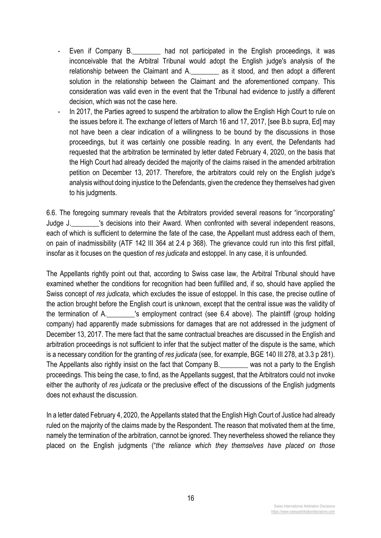- Even if Company B. And not participated in the English proceedings, it was inconceivable that the Arbitral Tribunal would adopt the English judge's analysis of the relationship between the Claimant and A. \_\_\_\_\_\_\_\_ as it stood, and then adopt a different solution in the relationship between the Claimant and the aforementioned company. This consideration was valid even in the event that the Tribunal had evidence to justify a different decision, which was not the case here.
- In 2017, the Parties agreed to suspend the arbitration to allow the English High Court to rule on the issues before it. The exchange of letters of March 16 and 17, 2017, [see B.b supra, Ed] may not have been a clear indication of a willingness to be bound by the discussions in those proceedings, but it was certainly one possible reading. In any event, the Defendants had requested that the arbitration be terminated by letter dated February 4, 2020, on the basis that the High Court had already decided the majority of the claims raised in the amended arbitration petition on December 13, 2017. Therefore, the arbitrators could rely on the English judge's analysis without doing injustice to the Defendants, given the credence they themselves had given to his judgments.

6.6. The foregoing summary reveals that the Arbitrators provided several reasons for "incorporating" Judge J.\_\_\_\_\_\_\_\_'s decisions into their Award. When confronted with several independent reasons, each of which is sufficient to determine the fate of the case, the Appellant must address each of them, on pain of inadmissibility (ATF 142 III 364 at 2.4 p 368). The grievance could run into this first pitfall, insofar as it focuses on the question of *res judicata* and estoppel. In any case, it is unfounded.

The Appellants rightly point out that, according to Swiss case law, the Arbitral Tribunal should have examined whether the conditions for recognition had been fulfilled and, if so, should have applied the Swiss concept of *res judicata*, which excludes the issue of estoppel. In this case, the precise outline of the action brought before the English court is unknown, except that the central issue was the validity of the termination of A.\_\_\_\_\_\_\_\_'s employment contract (see 6.4 above). The plaintiff (group holding company) had apparently made submissions for damages that are not addressed in the judgment of December 13, 2017. The mere fact that the same contractual breaches are discussed in the English and arbitration proceedings is not sufficient to infer that the subject matter of the dispute is the same, which is a necessary condition for the granting of *res judicata* (see, for example, BGE 140 III 278, at 3.3 p 281). The Appellants also rightly insist on the fact that Company B. The Appellants also rightly insist on the fact that Company B. proceedings. This being the case, to find, as the Appellants suggest, that the Arbitrators could not invoke either the authority of *res judicata* or the preclusive effect of the discussions of the English judgments does not exhaust the discussion.

In a letter dated February 4, 2020, the Appellants stated that the English High Court of Justice had already ruled on the majority of the claims made by the Respondent. The reason that motivated them at the time, namely the termination of the arbitration, cannot be ignored. They nevertheless showed the reliance they placed on the English judgments ("*the reliance which they themselves have placed on those*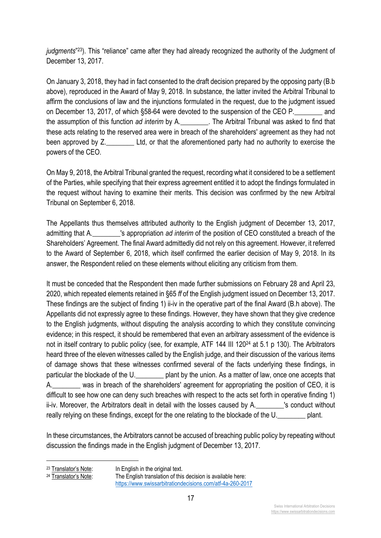*judgments*"23). This "reliance" came after they had already recognized the authority of the Judgment of December 13, 2017.

On January 3, 2018, they had in fact consented to the draft decision prepared by the opposing party (B.b above), reproduced in the Award of May 9, 2018. In substance, the latter invited the Arbitral Tribunal to affirm the conclusions of law and the injunctions formulated in the request, due to the judgment issued on December 13, 2017, of which §58-64 were devoted to the suspension of the CEO P. and the assumption of this function *ad interim* by A.\_\_\_\_\_\_\_\_. The Arbitral Tribunal was asked to find that these acts relating to the reserved area were in breach of the shareholders' agreement as they had not been approved by Z. Ltd, or that the aforementioned party had no authority to exercise the powers of the CEO.

On May 9, 2018, the Arbitral Tribunal granted the request, recording what it considered to be a settlement of the Parties, while specifying that their express agreement entitled it to adopt the findings formulated in the request without having to examine their merits. This decision was confirmed by the new Arbitral Tribunal on September 6, 2018.

The Appellants thus themselves attributed authority to the English judgment of December 13, 2017, admitting that A.\_\_\_\_\_\_\_\_'s appropriation *ad interim* of the position of CEO constituted a breach of the Shareholders' Agreement. The final Award admittedly did not rely on this agreement. However, it referred to the Award of September 6, 2018, which itself confirmed the earlier decision of May 9, 2018. In its answer, the Respondent relied on these elements without eliciting any criticism from them.

It must be conceded that the Respondent then made further submissions on February 28 and April 23, 2020, which repeated elements retained in §65 *ff* of the English judgment issued on December 13, 2017. These findings are the subject of finding 1) ii-iv in the operative part of the final Award (B.h above). The Appellants did not expressly agree to these findings. However, they have shown that they give credence to the English judgments, without disputing the analysis according to which they constitute convincing evidence; in this respect, it should be remembered that even an arbitrary assessment of the evidence is not in itself contrary to public policy (see, for example, ATF 144 III 12024 at 5.1 p 130). The Arbitrators heard three of the eleven witnesses called by the English judge, and their discussion of the various items of damage shows that these witnesses confirmed several of the facts underlying these findings, in particular the blockade of the U. http://www.blant by the union. As a matter of law, once one accepts that A.\_\_\_\_\_\_\_\_ was in breach of the shareholders' agreement for appropriating the position of CEO, it is difficult to see how one can deny such breaches with respect to the acts set forth in operative finding 1) ii-iv. Moreover, the Arbitrators dealt in detail with the losses caused by A. The Sconduct without really relying on these findings, except for the one relating to the blockade of the U.\_\_\_\_\_\_\_\_ plant.

In these circumstances, the Arbitrators cannot be accused of breaching public policy by repeating without discussion the findings made in the English judgment of December 13, 2017.

17

 $23$  Translator's Note: In English in the original text.<br> $24$  Translator's Note: The English translation of this The English translation of this decision is available here: https://www.swissarbitrationdecisions.com/atf-4a-260-2017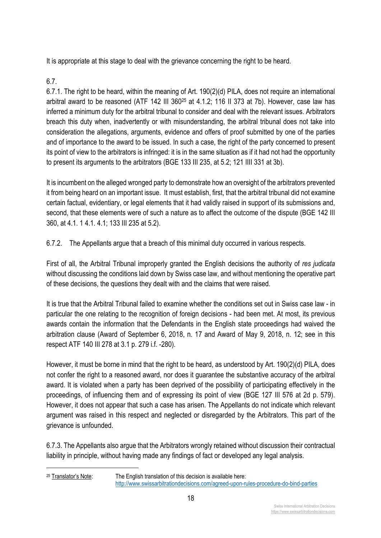It is appropriate at this stage to deal with the grievance concerning the right to be heard.

# 6.7.

6.7.1. The right to be heard, within the meaning of Art. 190(2)(d) PILA, does not require an international arbitral award to be reasoned (ATF 142 III 36025 at 4.1.2; 116 II 373 at 7b). However, case law has inferred a minimum duty for the arbitral tribunal to consider and deal with the relevant issues. Arbitrators breach this duty when, inadvertently or with misunderstanding, the arbitral tribunal does not take into consideration the allegations, arguments, evidence and offers of proof submitted by one of the parties and of importance to the award to be issued. In such a case, the right of the party concerned to present its point of view to the arbitrators is infringed: it is in the same situation as if it had not had the opportunity to present its arguments to the arbitrators (BGE 133 III 235, at 5.2; 121 IIII 331 at 3b).

It is incumbent on the alleged wronged party to demonstrate how an oversight of the arbitrators prevented it from being heard on an important issue. It must establish, first, that the arbitral tribunal did not examine certain factual, evidentiary, or legal elements that it had validly raised in support of its submissions and, second, that these elements were of such a nature as to affect the outcome of the dispute (BGE 142 III 360, at 4.1. 1 4.1. 4.1; 133 III 235 at 5.2).

6.7.2. The Appellants argue that a breach of this minimal duty occurred in various respects.

First of all, the Arbitral Tribunal improperly granted the English decisions the authority of *res judicata* without discussing the conditions laid down by Swiss case law, and without mentioning the operative part of these decisions, the questions they dealt with and the claims that were raised.

It is true that the Arbitral Tribunal failed to examine whether the conditions set out in Swiss case law - in particular the one relating to the recognition of foreign decisions - had been met. At most, its previous awards contain the information that the Defendants in the English state proceedings had waived the arbitration clause (Award of September 6, 2018, n. 17 and Award of May 9, 2018, n. 12; see in this respect ATF 140 III 278 at 3.1 p. 279 i.f. -280).

However, it must be borne in mind that the right to be heard, as understood by Art. 190(2)(d) PILA, does not confer the right to a reasoned award, nor does it guarantee the substantive accuracy of the arbitral award. It is violated when a party has been deprived of the possibility of participating effectively in the proceedings, of influencing them and of expressing its point of view (BGE 127 III 576 at 2d p. 579). However, it does not appear that such a case has arisen. The Appellants do not indicate which relevant argument was raised in this respect and neglected or disregarded by the Arbitrators. This part of the grievance is unfounded.

6.7.3. The Appellants also argue that the Arbitrators wrongly retained without discussion their contractual liability in principle, without having made any findings of fact or developed any legal analysis.

<sup>&</sup>lt;sup>25</sup> Translator's Note: The English translation of this decision is available here: http://www.swissarbitrationdecisions.com/agreed-upon-rules-procedure-do-bind-parties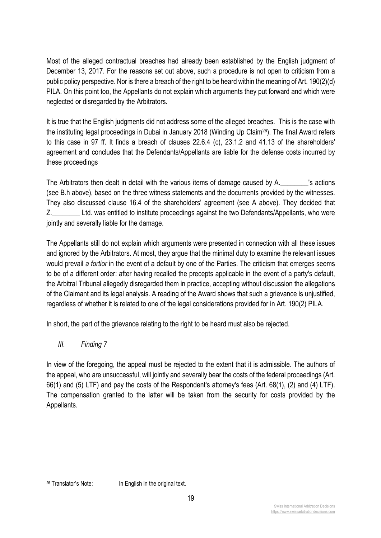Most of the alleged contractual breaches had already been established by the English judgment of December 13, 2017. For the reasons set out above, such a procedure is not open to criticism from a public policy perspective. Nor is there a breach of the right to be heard within the meaning of Art. 190(2)(d) PILA. On this point too, the Appellants do not explain which arguments they put forward and which were neglected or disregarded by the Arbitrators.

It is true that the English judgments did not address some of the alleged breaches. This is the case with the instituting legal proceedings in Dubai in January 2018 (Winding Up Claim26). The final Award refers to this case in 97 ff. It finds a breach of clauses 22.6.4 (c), 23.1.2 and 41.13 of the shareholders' agreement and concludes that the Defendants/Appellants are liable for the defense costs incurred by these proceedings

The Arbitrators then dealt in detail with the various items of damage caused by A.\_\_\_\_\_\_\_\_'s actions (see B.h above), based on the three witness statements and the documents provided by the witnesses. They also discussed clause 16.4 of the shareholders' agreement (see A above). They decided that Z.\_\_\_\_\_\_\_\_ Ltd. was entitled to institute proceedings against the two Defendants/Appellants, who were jointly and severally liable for the damage.

The Appellants still do not explain which arguments were presented in connection with all these issues and ignored by the Arbitrators. At most, they argue that the minimal duty to examine the relevant issues would prevail *a fortior* in the event of a default by one of the Parties. The criticism that emerges seems to be of a different order: after having recalled the precepts applicable in the event of a party's default, the Arbitral Tribunal allegedly disregarded them in practice, accepting without discussion the allegations of the Claimant and its legal analysis. A reading of the Award shows that such a grievance is unjustified, regardless of whether it is related to one of the legal considerations provided for in Art. 190(2) PILA.

In short, the part of the grievance relating to the right to be heard must also be rejected.

*III. Finding 7*

In view of the foregoing, the appeal must be rejected to the extent that it is admissible. The authors of the appeal, who are unsuccessful, will jointly and severally bear the costs of the federal proceedings (Art. 66(1) and (5) LTF) and pay the costs of the Respondent's attorney's fees (Art. 68(1), (2) and (4) LTF). The compensation granted to the latter will be taken from the security for costs provided by the Appellants.

<sup>&</sup>lt;sup>26</sup> Translator's Note: In English in the original text.